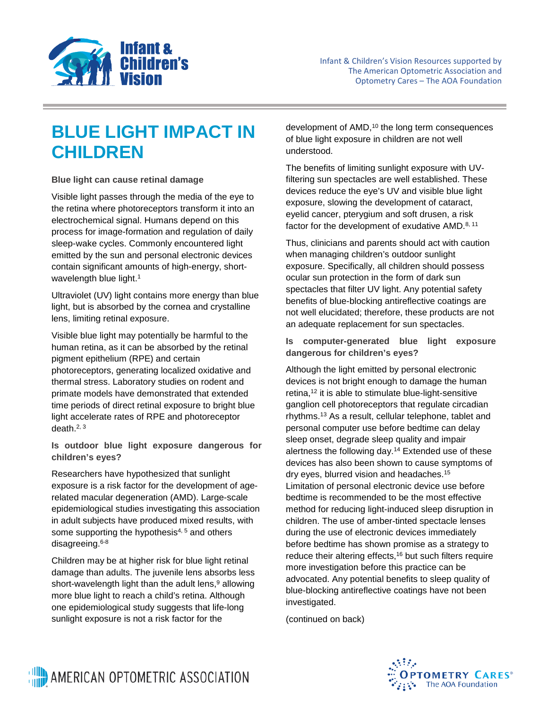

## **BLUE LIGHT IMPACT IN CHILDREN**

**Blue light can cause retinal damage**

Visible light passes through the media of the eye to the retina where photoreceptors transform it into an electrochemical signal. Humans depend on this process for image-formation and regulation of daily sleep-wake cycles. Commonly encountered light emitted by the sun and personal electronic devices contain significant amounts of high-energy, shortwavelength blue light.<sup>1</sup>

Ultraviolet (UV) light contains more energy than blue light, but is absorbed by the cornea and crystalline lens, limiting retinal exposure.

Visible blue light may potentially be harmful to the human retina, as it can be absorbed by the retinal pigment epithelium (RPE) and certain photoreceptors, generating localized oxidative and thermal stress. Laboratory studies on rodent and primate models have demonstrated that extended time periods of direct retinal exposure to bright blue light accelerate rates of RPE and photoreceptor death.2, 3

**Is outdoor blue light exposure dangerous for children's eyes?**

Researchers have hypothesized that sunlight exposure is a risk factor for the development of agerelated macular degeneration (AMD). Large-scale epidemiological studies investigating this association in adult subjects have produced mixed results, with some supporting the hypothesis<sup>4, 5</sup> and others disagreeing.6-8

Children may be at higher risk for blue light retinal damage than adults. The juvenile lens absorbs less short-wavelength light than the adult lens, $9$  allowing more blue light to reach a child's retina. Although one epidemiological study suggests that life-long sunlight exposure is not a risk factor for the

development of AMD,<sup>10</sup> the long term consequences of blue light exposure in children are not well understood.

The benefits of limiting sunlight exposure with UVfiltering sun spectacles are well established. These devices reduce the eye's UV and visible blue light exposure, slowing the development of cataract, eyelid cancer, pterygium and soft drusen, a risk factor for the development of exudative AMD.<sup>8, 11</sup>

Thus, clinicians and parents should act with caution when managing children's outdoor sunlight exposure. Specifically, all children should possess ocular sun protection in the form of dark sun spectacles that filter UV light. Any potential safety benefits of blue-blocking antireflective coatings are not well elucidated; therefore, these products are not an adequate replacement for sun spectacles.

## **Is computer-generated blue light exposure dangerous for children's eyes?**

Although the light emitted by personal electronic devices is not bright enough to damage the human retina, $12$  it is able to stimulate blue-light-sensitive ganglion cell photoreceptors that regulate circadian rhythms.13 As a result, cellular telephone, tablet and personal computer use before bedtime can delay sleep onset, degrade sleep quality and impair alertness the following day.14 Extended use of these devices has also been shown to cause symptoms of dry eyes, blurred vision and headaches.15 Limitation of personal electronic device use before bedtime is recommended to be the most effective method for reducing light-induced sleep disruption in children. The use of amber-tinted spectacle lenses during the use of electronic devices immediately before bedtime has shown promise as a strategy to reduce their altering effects,<sup>16</sup> but such filters require more investigation before this practice can be advocated. Any potential benefits to sleep quality of blue-blocking antireflective coatings have not been investigated.

(continued on back)